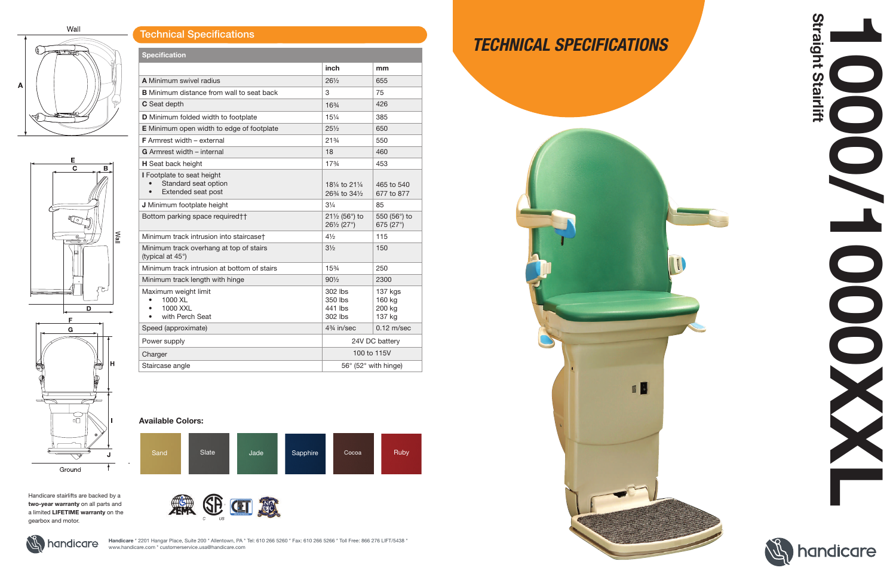Wall

# (☆  $\mathsf{A}$



| <b>Specification</b>                                                                  |                                                                                                            |                                       |
|---------------------------------------------------------------------------------------|------------------------------------------------------------------------------------------------------------|---------------------------------------|
|                                                                                       | inch                                                                                                       | mm                                    |
| <b>A</b> Minimum swivel radius                                                        | $26\frac{1}{2}$                                                                                            | 655                                   |
| <b>B</b> Minimum distance from wall to seat back                                      | 3                                                                                                          | 75                                    |
| C Seat depth                                                                          | 163/4                                                                                                      | 426                                   |
| D Minimum folded width to footplate                                                   | 151/4                                                                                                      | 385                                   |
| <b>E</b> Minimum open width to edge of footplate                                      | $25\frac{1}{2}$                                                                                            | 650                                   |
| <b>F</b> Armrest width $-$ external                                                   | 21%                                                                                                        | 550                                   |
| <b>G</b> Armrest width – internal                                                     | 18                                                                                                         | 460                                   |
| H Seat back height                                                                    | 17%                                                                                                        | 453                                   |
| I Footplate to seat height<br>Standard seat option<br>Extended seat post<br>$\bullet$ | 181/ <sub>4</sub> to 211/ <sub>4</sub><br>26 <sup>3</sup> / <sub>4</sub> to 34 <sup>1</sup> / <sub>2</sub> | 465 to 540<br>677 to 877              |
| J Minimum footplate height                                                            | $3\frac{1}{4}$                                                                                             | 85                                    |
| Bottom parking space required††                                                       | $21\frac{1}{2}$ (56°) to<br>261/2 (27°)                                                                    | 550 (56°) to<br>675 (27°)             |
| Minimum track intrusion into staircaset                                               | $4\frac{1}{2}$                                                                                             | 115                                   |
| Minimum track overhang at top of stairs<br>(typical at 45°)                           | $3\frac{1}{2}$                                                                                             | 150                                   |
| Minimum track intrusion at bottom of stairs                                           | 15%                                                                                                        | 250                                   |
| Minimum track length with hinge                                                       | $90\frac{1}{2}$                                                                                            | 2300                                  |
| Maximum weight limit<br>1000 XL<br>1000 XXL<br>with Perch Seat                        | 302 lbs<br>350 lbs<br>441 lbs<br>302 lbs                                                                   | 137 kgs<br>160 kg<br>200 kg<br>137 kg |
| Speed (approximate)                                                                   | 4 <sup>3</sup> / <sub>4</sub> in/sec                                                                       | $0.12$ m/sec                          |
| Power supply                                                                          | 24V DC battery                                                                                             |                                       |
| Charger                                                                               | 100 to 115V                                                                                                |                                       |
| Staircase angle                                                                       | 56° (52° with hinge)                                                                                       |                                       |

Handicare \* 2201 Hangar Place, Suite 200 \* Allentown, PA \* Tel: 610 266 5260 \* Fax: 610 266 5266 \* Toll Free: 866 276 LIFT/5438 \* www.handicare.com \* customerservice.usa@handicare.com

## Technical Specifications

Handicare stairlifts are backed by a two-year warranty on all parts and a limited LIFETIME warranty on the gearbox and motor.





# *TECHNICAL SPECIFICATIONS*

**B** 

#### Available Colors: